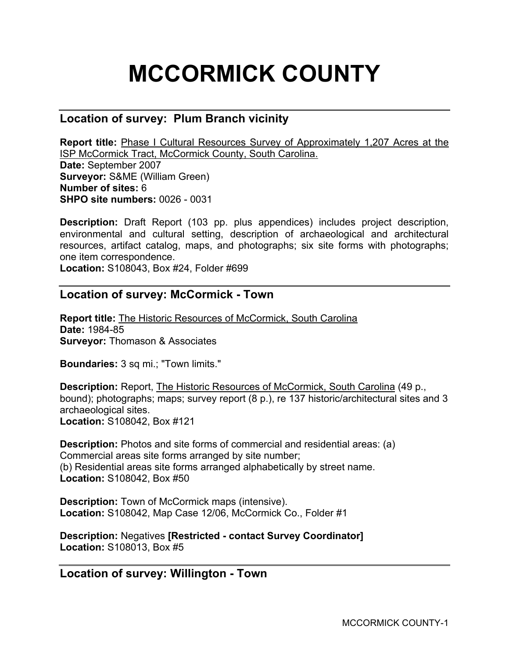# **MCCORMICK COUNTY**

## **Location of survey: Plum Branch vicinity**

**Report title:** Phase I Cultural Resources Survey of Approximately 1,207 Acres at the ISP McCormick Tract, McCormick County, South Carolina. **Date:** September 2007 **Surveyor:** S&ME (William Green) **Number of sites:** 6 **SHPO site numbers:** 0026 - 0031

**Description:** Draft Report (103 pp. plus appendices) includes project description, environmental and cultural setting, description of archaeological and architectural resources, artifact catalog, maps, and photographs; six site forms with photographs; one item correspondence.

**Location:** S108043, Box #24, Folder #699

## **Location of survey: McCormick - Town**

**Report title:** The Historic Resources of McCormick, South Carolina **Date:** 1984-85 **Surveyor:** Thomason & Associates

**Boundaries:** 3 sq mi.; "Town limits."

**Description:** Report, The Historic Resources of McCormick, South Carolina (49 p., bound); photographs; maps; survey report (8 p.), re 137 historic/architectural sites and 3 archaeological sites. **Location:** S108042, Box #121

**Description:** Photos and site forms of commercial and residential areas: (a) Commercial areas site forms arranged by site number; (b) Residential areas site forms arranged alphabetically by street name. **Location:** S108042, Box #50

**Description:** Town of McCormick maps (intensive). **Location:** S108042, Map Case 12/06, McCormick Co., Folder #1

**Description:** Negatives **[Restricted - contact Survey Coordinator] Location:** S108013, Box #5

**Location of survey: Willington - Town**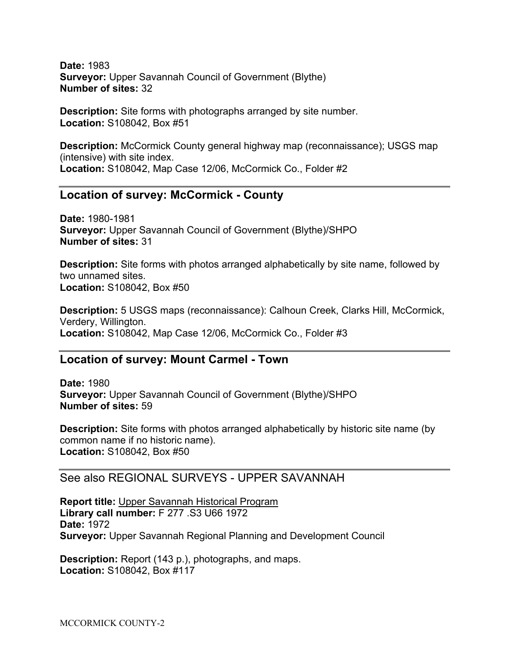**Date:** 1983 **Surveyor:** Upper Savannah Council of Government (Blythe) **Number of sites:** 32

**Description:** Site forms with photographs arranged by site number. **Location:** S108042, Box #51

**Description:** McCormick County general highway map (reconnaissance); USGS map (intensive) with site index. **Location:** S108042, Map Case 12/06, McCormick Co., Folder #2

## **Location of survey: McCormick - County**

**Date:** 1980-1981 **Surveyor:** Upper Savannah Council of Government (Blythe)/SHPO **Number of sites:** 31

**Description:** Site forms with photos arranged alphabetically by site name, followed by two unnamed sites. **Location:** S108042, Box #50

**Description:** 5 USGS maps (reconnaissance): Calhoun Creek, Clarks Hill, McCormick, Verdery, Willington. **Location:** S108042, Map Case 12/06, McCormick Co., Folder #3

#### **Location of survey: Mount Carmel - Town**

**Date:** 1980 **Surveyor:** Upper Savannah Council of Government (Blythe)/SHPO **Number of sites:** 59

**Description:** Site forms with photos arranged alphabetically by historic site name (by common name if no historic name). **Location:** S108042, Box #50

#### See also REGIONAL SURVEYS - UPPER SAVANNAH

**Report title:** Upper Savannah Historical Program **Library call number:** F 277 .S3 U66 1972 **Date:** 1972 **Surveyor:** Upper Savannah Regional Planning and Development Council

**Description:** Report (143 p.), photographs, and maps. **Location:** S108042, Box #117